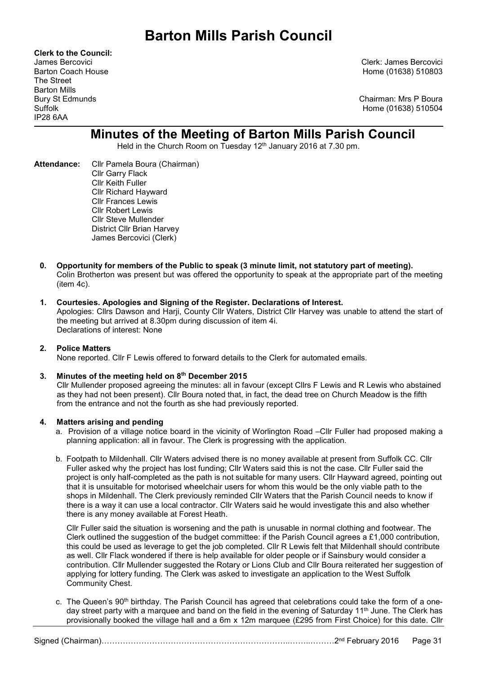Clerk to the Council: The Street Barton Mills IP28 6AA

James Bercovici Clerk: James Bercovici Barton Coach House **Home (01638)** 510803

Bury St Edmunds Chairman: Mrs P Boura Suffolk Home (01638) 510504

# Minutes of the Meeting of Barton Mills Parish Council

Held in the Church Room on Tuesday 12th January 2016 at 7.30 pm.

- Attendance: Cllr Pamela Boura (Chairman) Cllr Garry Flack Cllr Keith Fuller Cllr Richard Hayward Cllr Frances Lewis Cllr Robert Lewis Cllr Steve Mullender District Cllr Brian Harvey James Bercovici (Clerk)
	- 0. Opportunity for members of the Public to speak (3 minute limit, not statutory part of meeting). Colin Brotherton was present but was offered the opportunity to speak at the appropriate part of the meeting (item 4c).

# 1. Courtesies. Apologies and Signing of the Register. Declarations of Interest.

Apologies: Cllrs Dawson and Harji, County Cllr Waters, District Cllr Harvey was unable to attend the start of the meeting but arrived at 8.30pm during discussion of item 4i. Declarations of interest: None

# 2. Police Matters

None reported. Cllr F Lewis offered to forward details to the Clerk for automated emails.

### 3. Minutes of the meeting held on 8<sup>th</sup> December 2015

Cllr Mullender proposed agreeing the minutes: all in favour (except Cllrs F Lewis and R Lewis who abstained as they had not been present). Cllr Boura noted that, in fact, the dead tree on Church Meadow is the fifth from the entrance and not the fourth as she had previously reported.

### 4. Matters arising and pending

- a. Provision of a village notice board in the vicinity of Worlington Road –Cllr Fuller had proposed making a planning application: all in favour. The Clerk is progressing with the application.
- b. Footpath to Mildenhall. Cllr Waters advised there is no money available at present from Suffolk CC. Cllr Fuller asked why the project has lost funding; Cllr Waters said this is not the case. Cllr Fuller said the project is only half-completed as the path is not suitable for many users. Cllr Hayward agreed, pointing out that it is unsuitable for motorised wheelchair users for whom this would be the only viable path to the shops in Mildenhall. The Clerk previously reminded Cllr Waters that the Parish Council needs to know if there is a way it can use a local contractor. Cllr Waters said he would investigate this and also whether there is any money available at Forest Heath.

Cllr Fuller said the situation is worsening and the path is unusable in normal clothing and footwear. The Clerk outlined the suggestion of the budget committee: if the Parish Council agrees a £1,000 contribution, this could be used as leverage to get the job completed. Cllr R Lewis felt that Mildenhall should contribute as well. Cllr Flack wondered if there is help available for older people or if Sainsbury would consider a contribution. Cllr Mullender suggested the Rotary or Lions Club and Cllr Boura reiterated her suggestion of applying for lottery funding. The Clerk was asked to investigate an application to the West Suffolk Community Chest.

c. The Queen's 90<sup>th</sup> birthday. The Parish Council has agreed that celebrations could take the form of a oneday street party with a marquee and band on the field in the evening of Saturday 11th June. The Clerk has provisionally booked the village hall and a 6m x 12m marquee (£295 from First Choice) for this date. Cllr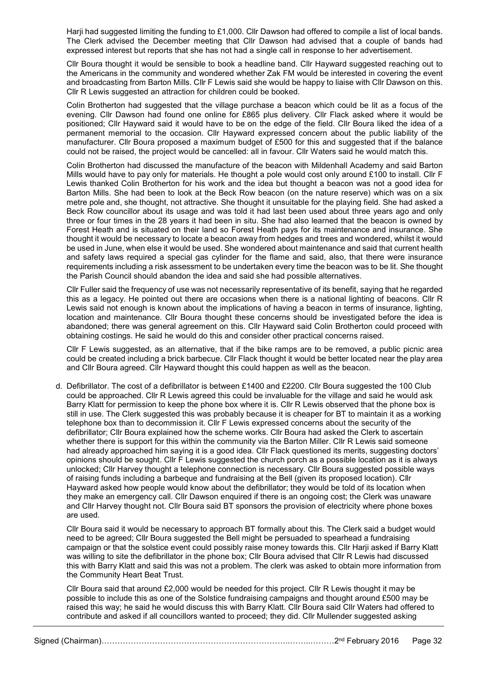Harii had suggested limiting the funding to £1,000. Cllr Dawson had offered to compile a list of local bands. The Clerk advised the December meeting that Cllr Dawson had advised that a couple of bands had expressed interest but reports that she has not had a single call in response to her advertisement.

Cllr Boura thought it would be sensible to book a headline band. Cllr Hayward suggested reaching out to the Americans in the community and wondered whether Zak FM would be interested in covering the event and broadcasting from Barton Mills. Cllr F Lewis said she would be happy to liaise with Cllr Dawson on this. Cllr R Lewis suggested an attraction for children could be booked.

Colin Brotherton had suggested that the village purchase a beacon which could be lit as a focus of the evening. Cllr Dawson had found one online for £865 plus delivery. Cllr Flack asked where it would be positioned; Cllr Hayward said it would have to be on the edge of the field. Cllr Boura liked the idea of a permanent memorial to the occasion. Cllr Hayward expressed concern about the public liability of the manufacturer. Cllr Boura proposed a maximum budget of £500 for this and suggested that if the balance could not be raised, the project would be cancelled: all in favour. Cllr Waters said he would match this.

Colin Brotherton had discussed the manufacture of the beacon with Mildenhall Academy and said Barton Mills would have to pay only for materials. He thought a pole would cost only around £100 to install. Cllr F Lewis thanked Colin Brotherton for his work and the idea but thought a beacon was not a good idea for Barton Mills. She had been to look at the Beck Row beacon (on the nature reserve) which was on a six metre pole and, she thought, not attractive. She thought it unsuitable for the playing field. She had asked a Beck Row councillor about its usage and was told it had last been used about three years ago and only three or four times in the 28 years it had been in situ. She had also learned that the beacon is owned by Forest Heath and is situated on their land so Forest Heath pays for its maintenance and insurance. She thought it would be necessary to locate a beacon away from hedges and trees and wondered, whilst it would be used in June, when else it would be used. She wondered about maintenance and said that current health and safety laws required a special gas cylinder for the flame and said, also, that there were insurance requirements including a risk assessment to be undertaken every time the beacon was to be lit. She thought the Parish Council should abandon the idea and said she had possible alternatives.

Cllr Fuller said the frequency of use was not necessarily representative of its benefit, saying that he regarded this as a legacy. He pointed out there are occasions when there is a national lighting of beacons. Cllr R Lewis said not enough is known about the implications of having a beacon in terms of insurance, lighting, location and maintenance. Cllr Boura thought these concerns should be investigated before the idea is abandoned; there was general agreement on this. Cllr Hayward said Colin Brotherton could proceed with obtaining costings. He said he would do this and consider other practical concerns raised.

 Cllr F Lewis suggested, as an alternative, that if the bike ramps are to be removed, a public picnic area could be created including a brick barbecue. Cllr Flack thought it would be better located near the play area and Cllr Boura agreed. Cllr Hayward thought this could happen as well as the beacon.

d. Defibrillator. The cost of a defibrillator is between £1400 and £2200. Cllr Boura suggested the 100 Club could be approached. Cllr R Lewis agreed this could be invaluable for the village and said he would ask Barry Klatt for permission to keep the phone box where it is. Cllr R Lewis observed that the phone box is still in use. The Clerk suggested this was probably because it is cheaper for BT to maintain it as a working telephone box than to decommission it. Cllr F Lewis expressed concerns about the security of the defibrillator; Cllr Boura explained how the scheme works. Cllr Boura had asked the Clerk to ascertain whether there is support for this within the community via the Barton Miller. Cllr R Lewis said someone had already approached him saying it is a good idea. Cllr Flack questioned its merits, suggesting doctors' opinions should be sought. Cllr F Lewis suggested the church porch as a possible location as it is always unlocked; Cllr Harvey thought a telephone connection is necessary. Cllr Boura suggested possible ways of raising funds including a barbeque and fundraising at the Bell (given its proposed location). Cllr Hayward asked how people would know about the defibrillator; they would be told of its location when they make an emergency call. Cllr Dawson enquired if there is an ongoing cost; the Clerk was unaware and Cllr Harvey thought not. Cllr Boura said BT sponsors the provision of electricity where phone boxes are used.

Cllr Boura said it would be necessary to approach BT formally about this. The Clerk said a budget would need to be agreed; Cllr Boura suggested the Bell might be persuaded to spearhead a fundraising campaign or that the solstice event could possibly raise money towards this. Cllr Harji asked if Barry Klatt was willing to site the defibrillator in the phone box; Cllr Boura advised that Cllr R Lewis had discussed this with Barry Klatt and said this was not a problem. The clerk was asked to obtain more information from the Community Heart Beat Trust.

Cllr Boura said that around £2,000 would be needed for this project. Cllr R Lewis thought it may be possible to include this as one of the Solstice fundraising campaigns and thought around £500 may be raised this way; he said he would discuss this with Barry Klatt. Cllr Boura said Cllr Waters had offered to contribute and asked if all councillors wanted to proceed; they did. Cllr Mullender suggested asking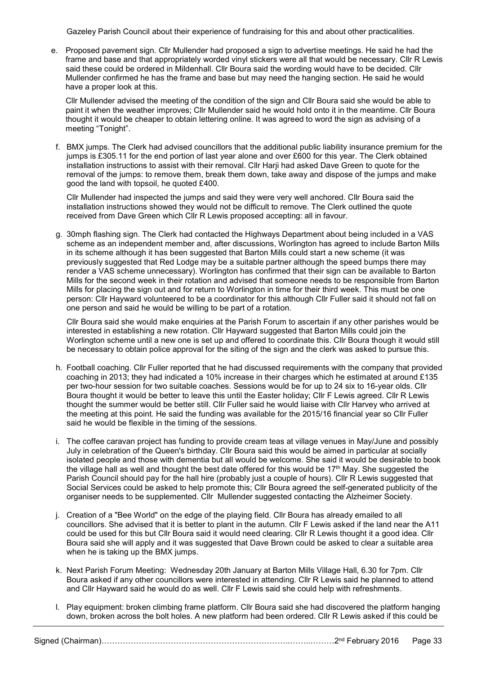Gazeley Parish Council about their experience of fundraising for this and about other practicalities.

e. Proposed pavement sign. Cllr Mullender had proposed a sign to advertise meetings. He said he had the frame and base and that appropriately worded vinyl stickers were all that would be necessary. Cllr R Lewis said these could be ordered in Mildenhall. Cllr Boura said the wording would have to be decided. Cllr Mullender confirmed he has the frame and base but may need the hanging section. He said he would have a proper look at this.

Cllr Mullender advised the meeting of the condition of the sign and Cllr Boura said she would be able to paint it when the weather improves; Cllr Mullender said he would hold onto it in the meantime. Cllr Boura thought it would be cheaper to obtain lettering online. It was agreed to word the sign as advising of a meeting "Tonight".

f. BMX jumps. The Clerk had advised councillors that the additional public liability insurance premium for the jumps is £305.11 for the end portion of last year alone and over £600 for this year. The Clerk obtained installation instructions to assist with their removal. Cllr Harji had asked Dave Green to quote for the removal of the jumps: to remove them, break them down, take away and dispose of the jumps and make good the land with topsoil, he quoted £400.

Cllr Mullender had inspected the jumps and said they were very well anchored. Cllr Boura said the installation instructions showed they would not be difficult to remove. The Clerk outlined the quote received from Dave Green which Cllr R Lewis proposed accepting: all in favour.

g. 30mph flashing sign. The Clerk had contacted the Highways Department about being included in a VAS scheme as an independent member and, after discussions, Worlington has agreed to include Barton Mills in its scheme although it has been suggested that Barton Mills could start a new scheme (it was previously suggested that Red Lodge may be a suitable partner although the speed bumps there may render a VAS scheme unnecessary). Worlington has confirmed that their sign can be available to Barton Mills for the second week in their rotation and advised that someone needs to be responsible from Barton Mills for placing the sign out and for return to Worlington in time for their third week. This must be one person: Cllr Hayward volunteered to be a coordinator for this although Cllr Fuller said it should not fall on one person and said he would be willing to be part of a rotation.

Cllr Boura said she would make enquiries at the Parish Forum to ascertain if any other parishes would be interested in establishing a new rotation. Cllr Hayward suggested that Barton Mills could join the Worlington scheme until a new one is set up and offered to coordinate this. Cllr Boura though it would still be necessary to obtain police approval for the siting of the sign and the clerk was asked to pursue this.

- h. Football coaching. Cllr Fuller reported that he had discussed requirements with the company that provided coaching in 2013; they had indicated a 10% increase in their charges which he estimated at around £135 per two-hour session for two suitable coaches. Sessions would be for up to 24 six to 16-year olds. Cllr Boura thought it would be better to leave this until the Easter holiday; Cllr F Lewis agreed. Cllr R Lewis thought the summer would be better still. Cllr Fuller said he would liaise with Cllr Harvey who arrived at the meeting at this point. He said the funding was available for the 2015/16 financial year so Cllr Fuller said he would be flexible in the timing of the sessions.
- i. The coffee caravan project has funding to provide cream teas at village venues in May/June and possibly July in celebration of the Queen's birthday. Cllr Boura said this would be aimed in particular at socially isolated people and those with dementia but all would be welcome. She said it would be desirable to book the village hall as well and thought the best date offered for this would be 17th May. She suggested the Parish Council should pay for the hall hire (probably just a couple of hours). Cllr R Lewis suggested that Social Services could be asked to help promote this; Cllr Boura agreed the self-generated publicity of the organiser needs to be supplemented. Cllr Mullender suggested contacting the Alzheimer Society.
- j. Creation of a "Bee World" on the edge of the playing field. Cllr Boura has already emailed to all councillors. She advised that it is better to plant in the autumn. Cllr F Lewis asked if the land near the A11 could be used for this but Cllr Boura said it would need clearing. Cllr R Lewis thought it a good idea. Cllr Boura said she will apply and it was suggested that Dave Brown could be asked to clear a suitable area when he is taking up the BMX jumps.
- k. Next Parish Forum Meeting: Wednesday 20th January at Barton Mills Village Hall, 6.30 for 7pm. Cllr Boura asked if any other councillors were interested in attending. Cllr R Lewis said he planned to attend and Cllr Hayward said he would do as well. Cllr F Lewis said she could help with refreshments.
- l. Play equipment: broken climbing frame platform. Cllr Boura said she had discovered the platform hanging down, broken across the bolt holes. A new platform had been ordered. Cllr R Lewis asked if this could be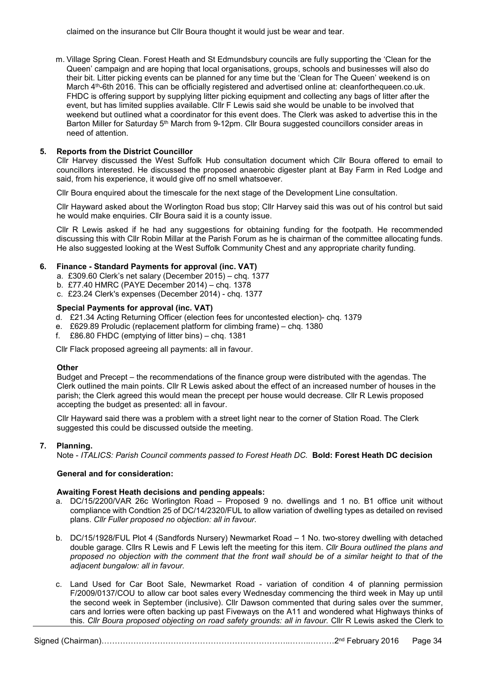claimed on the insurance but Cllr Boura thought it would just be wear and tear.

m. Village Spring Clean. Forest Heath and St Edmundsbury councils are fully supporting the 'Clean for the Queen' campaign and are hoping that local organisations, groups, schools and businesses will also do their bit. Litter picking events can be planned for any time but the 'Clean for The Queen' weekend is on March 4<sup>th</sup>-6th 2016. This can be officially registered and advertised online at: cleanforthequeen.co.uk. FHDC is offering support by supplying litter picking equipment and collecting any bags of litter after the event, but has limited supplies available. Cllr F Lewis said she would be unable to be involved that weekend but outlined what a coordinator for this event does. The Clerk was asked to advertise this in the Barton Miller for Saturday 5<sup>th</sup> March from 9-12pm. Cllr Boura suggested councillors consider areas in need of attention.

# 5. Reports from the District Councillor

Cllr Harvey discussed the West Suffolk Hub consultation document which Cllr Boura offered to email to councillors interested. He discussed the proposed anaerobic digester plant at Bay Farm in Red Lodge and said, from his experience, it would give off no smell whatsoever.

Cllr Boura enquired about the timescale for the next stage of the Development Line consultation.

Cllr Hayward asked about the Worlington Road bus stop; Cllr Harvey said this was out of his control but said he would make enquiries. Cllr Boura said it is a county issue.

Cllr R Lewis asked if he had any suggestions for obtaining funding for the footpath. He recommended discussing this with Cllr Robin Millar at the Parish Forum as he is chairman of the committee allocating funds. He also suggested looking at the West Suffolk Community Chest and any appropriate charity funding.

## 6. Finance - Standard Payments for approval (inc. VAT)

- a. £309.60 Clerk's net salary (December 2015) chq. 1377
- b. £77.40 HMRC (PAYE December 2014) chq. 1378
- c. £23.24 Clerk's expenses (December 2014) chq. 1377

## Special Payments for approval (inc. VAT)

- d. £21.34 Acting Returning Officer (election fees for uncontested election)- chq. 1379
- e. £629.89 Proludic (replacement platform for climbing frame) chq. 1380
- f. £86.80 FHDC (emptying of litter bins) chq. 1381

Cllr Flack proposed agreeing all payments: all in favour.

### **Other**

Budget and Precept – the recommendations of the finance group were distributed with the agendas. The Clerk outlined the main points. Cllr R Lewis asked about the effect of an increased number of houses in the parish; the Clerk agreed this would mean the precept per house would decrease. Cllr R Lewis proposed accepting the budget as presented: all in favour.

Cllr Hayward said there was a problem with a street light near to the corner of Station Road. The Clerk suggested this could be discussed outside the meeting.

# 7. Planning.

Note - ITALICS: Parish Council comments passed to Forest Heath DC. Bold: Forest Heath DC decision

# General and for consideration:

### Awaiting Forest Heath decisions and pending appeals:

- a. DC/15/2200/VAR 26c Worlington Road Proposed 9 no. dwellings and 1 no. B1 office unit without compliance with Condtion 25 of DC/14/2320/FUL to allow variation of dwelling types as detailed on revised plans. Cllr Fuller proposed no objection: all in favour.
- b. DC/15/1928/FUL Plot 4 (Sandfords Nursery) Newmarket Road 1 No. two-storey dwelling with detached double garage. Cllrs R Lewis and F Lewis left the meeting for this item. Cllr Boura outlined the plans and proposed no objection with the comment that the front wall should be of a similar height to that of the adjacent bungalow: all in favour.
- c. Land Used for Car Boot Sale, Newmarket Road variation of condition 4 of planning permission F/2009/0137/COU to allow car boot sales every Wednesday commencing the third week in May up until the second week in September (inclusive). Cllr Dawson commented that during sales over the summer, cars and lorries were often backing up past Fiveways on the A11 and wondered what Highways thinks of this. Cllr Boura proposed objecting on road safety grounds: all in favour. Cllr R Lewis asked the Clerk to